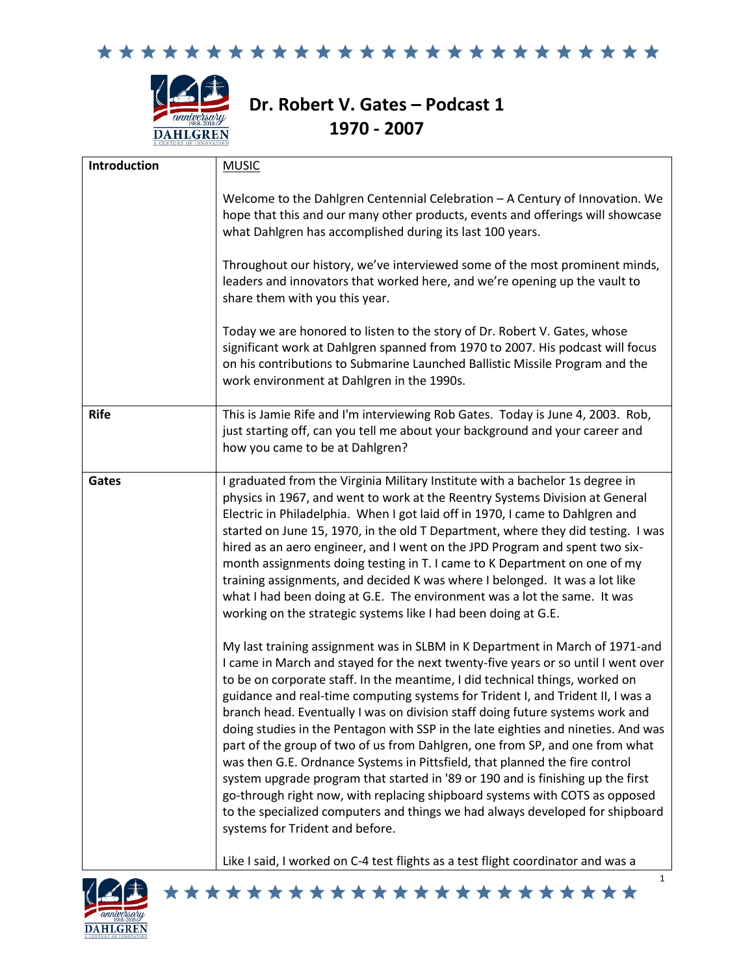



# **Dr. Robert V. Gates – Podcast 1 1970 - 2007**

| Introduction | <b>MUSIC</b>                                                                                                                                                                                                                                                                                                                                                                                                                                                                                                                                                                                                                                                                                                                                                                                                                                                                                                                                                    |
|--------------|-----------------------------------------------------------------------------------------------------------------------------------------------------------------------------------------------------------------------------------------------------------------------------------------------------------------------------------------------------------------------------------------------------------------------------------------------------------------------------------------------------------------------------------------------------------------------------------------------------------------------------------------------------------------------------------------------------------------------------------------------------------------------------------------------------------------------------------------------------------------------------------------------------------------------------------------------------------------|
|              | Welcome to the Dahlgren Centennial Celebration - A Century of Innovation. We<br>hope that this and our many other products, events and offerings will showcase<br>what Dahlgren has accomplished during its last 100 years.                                                                                                                                                                                                                                                                                                                                                                                                                                                                                                                                                                                                                                                                                                                                     |
|              | Throughout our history, we've interviewed some of the most prominent minds,<br>leaders and innovators that worked here, and we're opening up the vault to<br>share them with you this year.                                                                                                                                                                                                                                                                                                                                                                                                                                                                                                                                                                                                                                                                                                                                                                     |
|              | Today we are honored to listen to the story of Dr. Robert V. Gates, whose<br>significant work at Dahlgren spanned from 1970 to 2007. His podcast will focus<br>on his contributions to Submarine Launched Ballistic Missile Program and the<br>work environment at Dahlgren in the 1990s.                                                                                                                                                                                                                                                                                                                                                                                                                                                                                                                                                                                                                                                                       |
| <b>Rife</b>  | This is Jamie Rife and I'm interviewing Rob Gates. Today is June 4, 2003. Rob,<br>just starting off, can you tell me about your background and your career and<br>how you came to be at Dahlgren?                                                                                                                                                                                                                                                                                                                                                                                                                                                                                                                                                                                                                                                                                                                                                               |
| Gates        | I graduated from the Virginia Military Institute with a bachelor 1s degree in<br>physics in 1967, and went to work at the Reentry Systems Division at General<br>Electric in Philadelphia. When I got laid off in 1970, I came to Dahlgren and<br>started on June 15, 1970, in the old T Department, where they did testing. I was<br>hired as an aero engineer, and I went on the JPD Program and spent two six-<br>month assignments doing testing in T. I came to K Department on one of my<br>training assignments, and decided K was where I belonged. It was a lot like<br>what I had been doing at G.E. The environment was a lot the same. It was<br>working on the strategic systems like I had been doing at G.E.                                                                                                                                                                                                                                     |
|              | My last training assignment was in SLBM in K Department in March of 1971-and<br>I came in March and stayed for the next twenty-five years or so until I went over<br>to be on corporate staff. In the meantime, I did technical things, worked on<br>guidance and real-time computing systems for Trident I, and Trident II, I was a<br>branch head. Eventually I was on division staff doing future systems work and<br>doing studies in the Pentagon with SSP in the late eighties and nineties. And was<br>part of the group of two of us from Dahlgren, one from SP, and one from what<br>was then G.E. Ordnance Systems in Pittsfield, that planned the fire control<br>system upgrade program that started in '89 or 190 and is finishing up the first<br>go-through right now, with replacing shipboard systems with COTS as opposed<br>to the specialized computers and things we had always developed for shipboard<br>systems for Trident and before. |
|              | Like I said, I worked on C-4 test flights as a test flight coordinator and was a                                                                                                                                                                                                                                                                                                                                                                                                                                                                                                                                                                                                                                                                                                                                                                                                                                                                                |

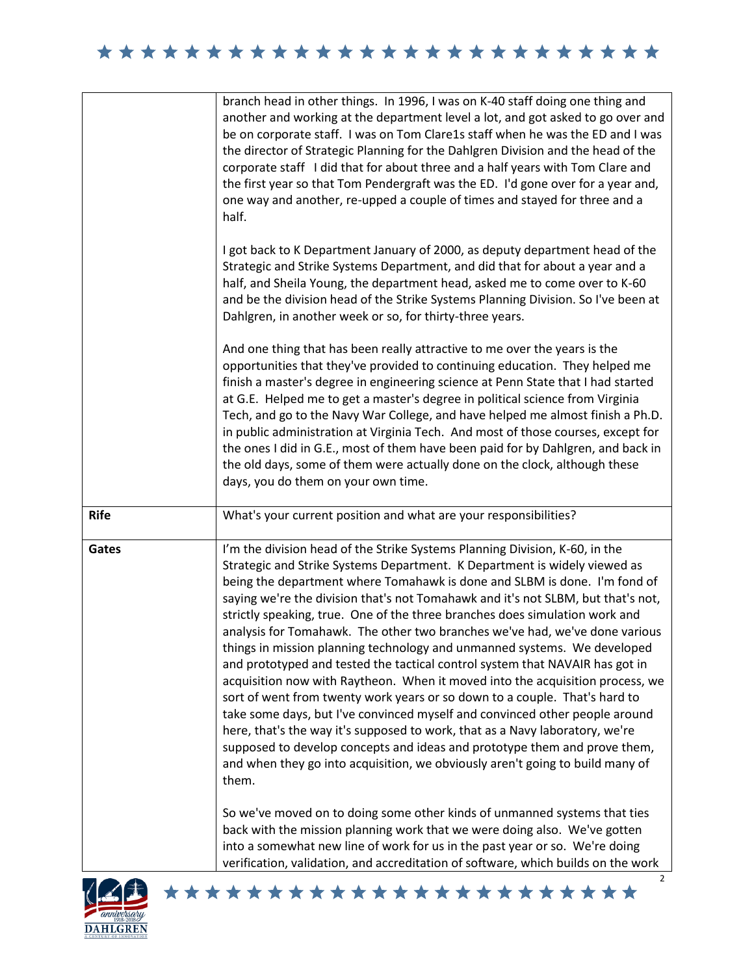|             | branch head in other things. In 1996, I was on K-40 staff doing one thing and<br>another and working at the department level a lot, and got asked to go over and<br>be on corporate staff. I was on Tom Clare1s staff when he was the ED and I was<br>the director of Strategic Planning for the Dahlgren Division and the head of the<br>corporate staff I did that for about three and a half years with Tom Clare and<br>the first year so that Tom Pendergraft was the ED. I'd gone over for a year and,<br>one way and another, re-upped a couple of times and stayed for three and a<br>half.                                                                                                                                                                                                                                                                                                                                                                                                                                                                                                                                                      |
|-------------|----------------------------------------------------------------------------------------------------------------------------------------------------------------------------------------------------------------------------------------------------------------------------------------------------------------------------------------------------------------------------------------------------------------------------------------------------------------------------------------------------------------------------------------------------------------------------------------------------------------------------------------------------------------------------------------------------------------------------------------------------------------------------------------------------------------------------------------------------------------------------------------------------------------------------------------------------------------------------------------------------------------------------------------------------------------------------------------------------------------------------------------------------------|
|             | I got back to K Department January of 2000, as deputy department head of the<br>Strategic and Strike Systems Department, and did that for about a year and a<br>half, and Sheila Young, the department head, asked me to come over to K-60<br>and be the division head of the Strike Systems Planning Division. So I've been at<br>Dahlgren, in another week or so, for thirty-three years.                                                                                                                                                                                                                                                                                                                                                                                                                                                                                                                                                                                                                                                                                                                                                              |
|             | And one thing that has been really attractive to me over the years is the<br>opportunities that they've provided to continuing education. They helped me<br>finish a master's degree in engineering science at Penn State that I had started<br>at G.E. Helped me to get a master's degree in political science from Virginia<br>Tech, and go to the Navy War College, and have helped me almost finish a Ph.D.<br>in public administration at Virginia Tech. And most of those courses, except for<br>the ones I did in G.E., most of them have been paid for by Dahlgren, and back in<br>the old days, some of them were actually done on the clock, although these<br>days, you do them on your own time.                                                                                                                                                                                                                                                                                                                                                                                                                                             |
| <b>Rife</b> | What's your current position and what are your responsibilities?                                                                                                                                                                                                                                                                                                                                                                                                                                                                                                                                                                                                                                                                                                                                                                                                                                                                                                                                                                                                                                                                                         |
| Gates       | I'm the division head of the Strike Systems Planning Division, K-60, in the<br>Strategic and Strike Systems Department. K Department is widely viewed as<br>being the department where Tomahawk is done and SLBM is done. I'm fond of<br>saying we're the division that's not Tomahawk and it's not SLBM, but that's not,<br>strictly speaking, true. One of the three branches does simulation work and<br>analysis for Tomahawk. The other two branches we've had, we've done various<br>things in mission planning technology and unmanned systems. We developed<br>and prototyped and tested the tactical control system that NAVAIR has got in<br>acquisition now with Raytheon. When it moved into the acquisition process, we<br>sort of went from twenty work years or so down to a couple. That's hard to<br>take some days, but I've convinced myself and convinced other people around<br>here, that's the way it's supposed to work, that as a Navy laboratory, we're<br>supposed to develop concepts and ideas and prototype them and prove them,<br>and when they go into acquisition, we obviously aren't going to build many of<br>them. |
|             | So we've moved on to doing some other kinds of unmanned systems that ties<br>back with the mission planning work that we were doing also. We've gotten<br>into a somewhat new line of work for us in the past year or so. We're doing<br>verification, validation, and accreditation of software, which builds on the work                                                                                                                                                                                                                                                                                                                                                                                                                                                                                                                                                                                                                                                                                                                                                                                                                               |

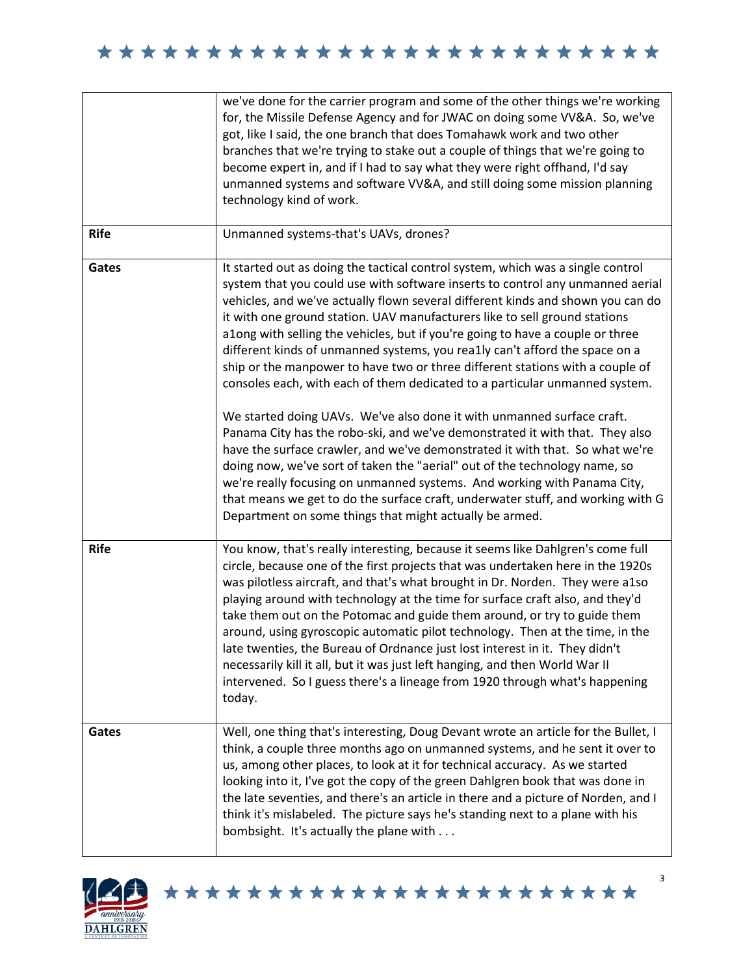|             | we've done for the carrier program and some of the other things we're working<br>for, the Missile Defense Agency and for JWAC on doing some VV&A. So, we've<br>got, like I said, the one branch that does Tomahawk work and two other<br>branches that we're trying to stake out a couple of things that we're going to<br>become expert in, and if I had to say what they were right offhand, I'd say<br>unmanned systems and software VV&A, and still doing some mission planning<br>technology kind of work.                                                                                                                                                                                                                                                                                                                                                                                                                                                                                                                                                                                                                                                                                                       |
|-------------|-----------------------------------------------------------------------------------------------------------------------------------------------------------------------------------------------------------------------------------------------------------------------------------------------------------------------------------------------------------------------------------------------------------------------------------------------------------------------------------------------------------------------------------------------------------------------------------------------------------------------------------------------------------------------------------------------------------------------------------------------------------------------------------------------------------------------------------------------------------------------------------------------------------------------------------------------------------------------------------------------------------------------------------------------------------------------------------------------------------------------------------------------------------------------------------------------------------------------|
| <b>Rife</b> | Unmanned systems-that's UAVs, drones?                                                                                                                                                                                                                                                                                                                                                                                                                                                                                                                                                                                                                                                                                                                                                                                                                                                                                                                                                                                                                                                                                                                                                                                 |
| Gates       | It started out as doing the tactical control system, which was a single control<br>system that you could use with software inserts to control any unmanned aerial<br>vehicles, and we've actually flown several different kinds and shown you can do<br>it with one ground station. UAV manufacturers like to sell ground stations<br>a1ong with selling the vehicles, but if you're going to have a couple or three<br>different kinds of unmanned systems, you rea1ly can't afford the space on a<br>ship or the manpower to have two or three different stations with a couple of<br>consoles each, with each of them dedicated to a particular unmanned system.<br>We started doing UAVs. We've also done it with unmanned surface craft.<br>Panama City has the robo-ski, and we've demonstrated it with that. They also<br>have the surface crawler, and we've demonstrated it with that. So what we're<br>doing now, we've sort of taken the "aerial" out of the technology name, so<br>we're really focusing on unmanned systems. And working with Panama City,<br>that means we get to do the surface craft, underwater stuff, and working with G<br>Department on some things that might actually be armed. |
| <b>Rife</b> | You know, that's really interesting, because it seems like Dahlgren's come full<br>circle, because one of the first projects that was undertaken here in the 1920s<br>was pilotless aircraft, and that's what brought in Dr. Norden. They were a1so<br>playing around with technology at the time for surface craft also, and they'd<br>take them out on the Potomac and guide them around, or try to guide them<br>around, using gyroscopic automatic pilot technology. Then at the time, in the<br>late twenties, the Bureau of Ordnance just lost interest in it. They didn't<br>necessarily kill it all, but it was just left hanging, and then World War II<br>intervened. So I guess there's a lineage from 1920 through what's happening<br>today.                                                                                                                                                                                                                                                                                                                                                                                                                                                             |
| Gates       | Well, one thing that's interesting, Doug Devant wrote an article for the Bullet, I<br>think, a couple three months ago on unmanned systems, and he sent it over to<br>us, among other places, to look at it for technical accuracy. As we started<br>looking into it, I've got the copy of the green Dahlgren book that was done in<br>the late seventies, and there's an article in there and a picture of Norden, and I<br>think it's mislabeled. The picture says he's standing next to a plane with his<br>bombsight. It's actually the plane with                                                                                                                                                                                                                                                                                                                                                                                                                                                                                                                                                                                                                                                                |

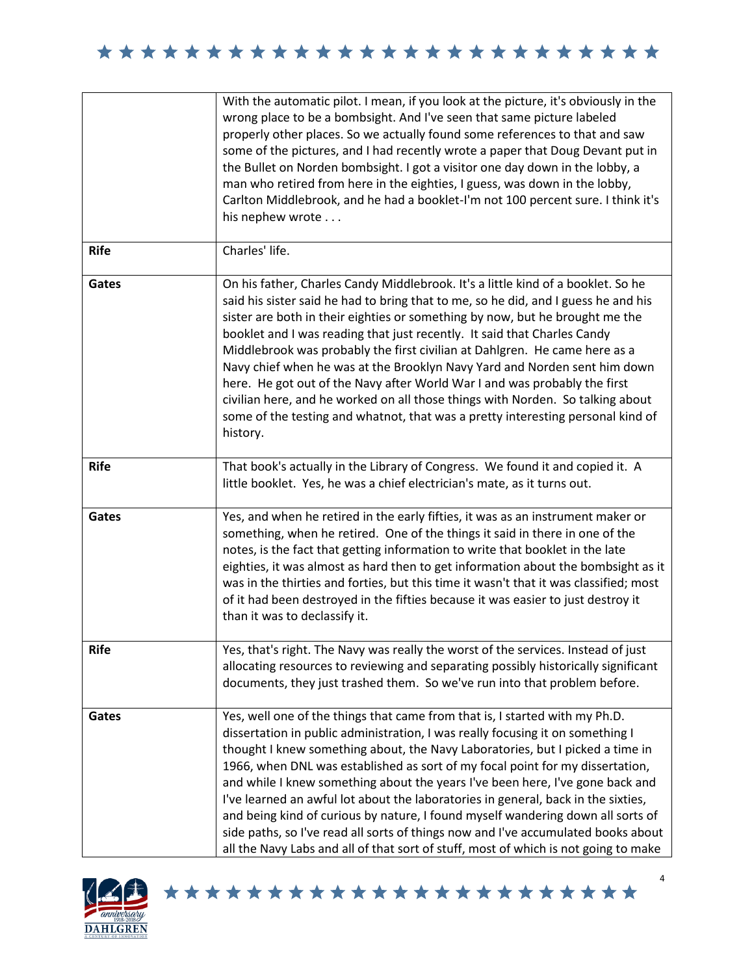|             | With the automatic pilot. I mean, if you look at the picture, it's obviously in the<br>wrong place to be a bombsight. And I've seen that same picture labeled<br>properly other places. So we actually found some references to that and saw<br>some of the pictures, and I had recently wrote a paper that Doug Devant put in<br>the Bullet on Norden bombsight. I got a visitor one day down in the lobby, a<br>man who retired from here in the eighties, I guess, was down in the lobby,<br>Carlton Middlebrook, and he had a booklet-I'm not 100 percent sure. I think it's<br>his nephew wrote                                                                                                                                                                 |
|-------------|----------------------------------------------------------------------------------------------------------------------------------------------------------------------------------------------------------------------------------------------------------------------------------------------------------------------------------------------------------------------------------------------------------------------------------------------------------------------------------------------------------------------------------------------------------------------------------------------------------------------------------------------------------------------------------------------------------------------------------------------------------------------|
| <b>Rife</b> | Charles' life.                                                                                                                                                                                                                                                                                                                                                                                                                                                                                                                                                                                                                                                                                                                                                       |
| Gates       | On his father, Charles Candy Middlebrook. It's a little kind of a booklet. So he<br>said his sister said he had to bring that to me, so he did, and I guess he and his<br>sister are both in their eighties or something by now, but he brought me the<br>booklet and I was reading that just recently. It said that Charles Candy<br>Middlebrook was probably the first civilian at Dahlgren. He came here as a<br>Navy chief when he was at the Brooklyn Navy Yard and Norden sent him down<br>here. He got out of the Navy after World War I and was probably the first<br>civilian here, and he worked on all those things with Norden. So talking about<br>some of the testing and whatnot, that was a pretty interesting personal kind of<br>history.          |
| <b>Rife</b> | That book's actually in the Library of Congress. We found it and copied it. A<br>little booklet. Yes, he was a chief electrician's mate, as it turns out.                                                                                                                                                                                                                                                                                                                                                                                                                                                                                                                                                                                                            |
| Gates       | Yes, and when he retired in the early fifties, it was as an instrument maker or<br>something, when he retired. One of the things it said in there in one of the<br>notes, is the fact that getting information to write that booklet in the late<br>eighties, it was almost as hard then to get information about the bombsight as it<br>was in the thirties and forties, but this time it wasn't that it was classified; most<br>of it had been destroyed in the fifties because it was easier to just destroy it<br>than it was to declassify it.                                                                                                                                                                                                                  |
| <b>Rife</b> | Yes, that's right. The Navy was really the worst of the services. Instead of just<br>allocating resources to reviewing and separating possibly historically significant<br>documents, they just trashed them. So we've run into that problem before.                                                                                                                                                                                                                                                                                                                                                                                                                                                                                                                 |
| Gates       | Yes, well one of the things that came from that is, I started with my Ph.D.<br>dissertation in public administration, I was really focusing it on something I<br>thought I knew something about, the Navy Laboratories, but I picked a time in<br>1966, when DNL was established as sort of my focal point for my dissertation,<br>and while I knew something about the years I've been here, I've gone back and<br>I've learned an awful lot about the laboratories in general, back in the sixties,<br>and being kind of curious by nature, I found myself wandering down all sorts of<br>side paths, so I've read all sorts of things now and I've accumulated books about<br>all the Navy Labs and all of that sort of stuff, most of which is not going to make |

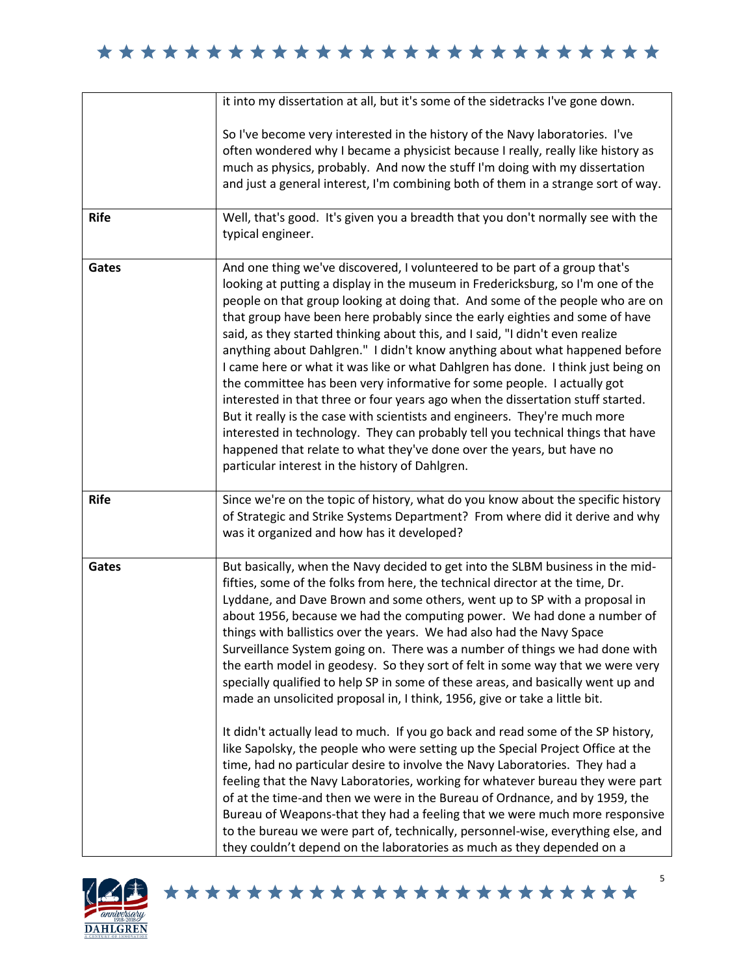|             | it into my dissertation at all, but it's some of the sidetracks I've gone down.                                                                                                                                                                                                                                                                                                                                                                                                                                                                                                                                                                                                                                                                                                                                                                                                                                                                                                                                                                                                                                                                                                                                                                                                                                                                                                                         |
|-------------|---------------------------------------------------------------------------------------------------------------------------------------------------------------------------------------------------------------------------------------------------------------------------------------------------------------------------------------------------------------------------------------------------------------------------------------------------------------------------------------------------------------------------------------------------------------------------------------------------------------------------------------------------------------------------------------------------------------------------------------------------------------------------------------------------------------------------------------------------------------------------------------------------------------------------------------------------------------------------------------------------------------------------------------------------------------------------------------------------------------------------------------------------------------------------------------------------------------------------------------------------------------------------------------------------------------------------------------------------------------------------------------------------------|
|             | So I've become very interested in the history of the Navy laboratories. I've<br>often wondered why I became a physicist because I really, really like history as<br>much as physics, probably. And now the stuff I'm doing with my dissertation<br>and just a general interest, I'm combining both of them in a strange sort of way.                                                                                                                                                                                                                                                                                                                                                                                                                                                                                                                                                                                                                                                                                                                                                                                                                                                                                                                                                                                                                                                                    |
| <b>Rife</b> | Well, that's good. It's given you a breadth that you don't normally see with the<br>typical engineer.                                                                                                                                                                                                                                                                                                                                                                                                                                                                                                                                                                                                                                                                                                                                                                                                                                                                                                                                                                                                                                                                                                                                                                                                                                                                                                   |
| Gates       | And one thing we've discovered, I volunteered to be part of a group that's<br>looking at putting a display in the museum in Fredericksburg, so I'm one of the<br>people on that group looking at doing that. And some of the people who are on<br>that group have been here probably since the early eighties and some of have<br>said, as they started thinking about this, and I said, "I didn't even realize<br>anything about Dahlgren." I didn't know anything about what happened before<br>I came here or what it was like or what Dahlgren has done. I think just being on<br>the committee has been very informative for some people. I actually got<br>interested in that three or four years ago when the dissertation stuff started.<br>But it really is the case with scientists and engineers. They're much more<br>interested in technology. They can probably tell you technical things that have<br>happened that relate to what they've done over the years, but have no<br>particular interest in the history of Dahlgren.                                                                                                                                                                                                                                                                                                                                                           |
| <b>Rife</b> | Since we're on the topic of history, what do you know about the specific history<br>of Strategic and Strike Systems Department? From where did it derive and why<br>was it organized and how has it developed?                                                                                                                                                                                                                                                                                                                                                                                                                                                                                                                                                                                                                                                                                                                                                                                                                                                                                                                                                                                                                                                                                                                                                                                          |
| Gates       | But basically, when the Navy decided to get into the SLBM business in the mid-<br>fifties, some of the folks from here, the technical director at the time, Dr.<br>Lyddane, and Dave Brown and some others, went up to SP with a proposal in<br>about 1956, because we had the computing power. We had done a number of<br>things with ballistics over the years. We had also had the Navy Space<br>Surveillance System going on. There was a number of things we had done with<br>the earth model in geodesy. So they sort of felt in some way that we were very<br>specially qualified to help SP in some of these areas, and basically went up and<br>made an unsolicited proposal in, I think, 1956, give or take a little bit.<br>It didn't actually lead to much. If you go back and read some of the SP history,<br>like Sapolsky, the people who were setting up the Special Project Office at the<br>time, had no particular desire to involve the Navy Laboratories. They had a<br>feeling that the Navy Laboratories, working for whatever bureau they were part<br>of at the time-and then we were in the Bureau of Ordnance, and by 1959, the<br>Bureau of Weapons-that they had a feeling that we were much more responsive<br>to the bureau we were part of, technically, personnel-wise, everything else, and<br>they couldn't depend on the laboratories as much as they depended on a |

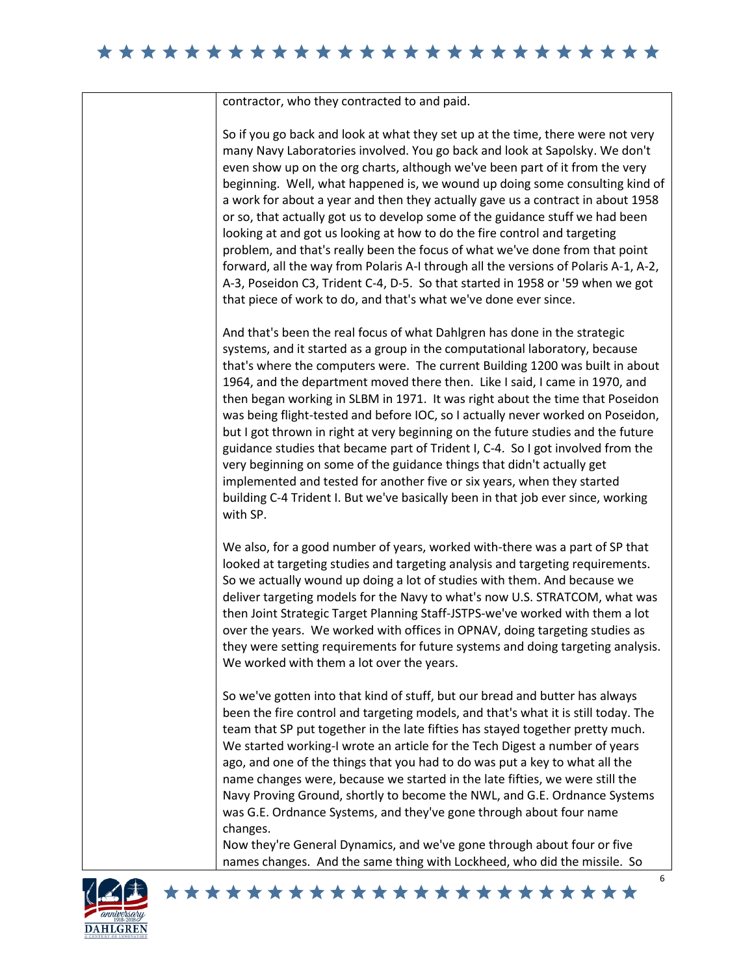#### 

contractor, who they contracted to and paid.

So if you go back and look at what they set up at the time, there were not very many Navy Laboratories involved. You go back and look at Sapolsky. We don't even show up on the org charts, although we've been part of it from the very beginning. Well, what happened is, we wound up doing some consulting kind of a work for about a year and then they actually gave us a contract in about 1958 or so, that actually got us to develop some of the guidance stuff we had been looking at and got us looking at how to do the fire control and targeting problem, and that's really been the focus of what we've done from that point forward, all the way from Polaris A-I through all the versions of Polaris A-1, A-2, A-3, Poseidon C3, Trident C-4, D-5. So that started in 1958 or '59 when we got that piece of work to do, and that's what we've done ever since.

And that's been the real focus of what Dahlgren has done in the strategic systems, and it started as a group in the computational laboratory, because that's where the computers were. The current Building 1200 was built in about 1964, and the department moved there then. Like I said, I came in 1970, and then began working in SLBM in 1971. It was right about the time that Poseidon was being flight-tested and before IOC, so I actually never worked on Poseidon, but I got thrown in right at very beginning on the future studies and the future guidance studies that became part of Trident I, C-4. So I got involved from the very beginning on some of the guidance things that didn't actually get implemented and tested for another five or six years, when they started building C-4 Trident I. But we've basically been in that job ever since, working with SP.

We also, for a good number of years, worked with-there was a part of SP that looked at targeting studies and targeting analysis and targeting requirements. So we actually wound up doing a lot of studies with them. And because we deliver targeting models for the Navy to what's now U.S. STRATCOM, what was then Joint Strategic Target Planning Staff-JSTPS-we've worked with them a lot over the years. We worked with offices in OPNAV, doing targeting studies as they were setting requirements for future systems and doing targeting analysis. We worked with them a lot over the years.

So we've gotten into that kind of stuff, but our bread and butter has always been the fire control and targeting models, and that's what it is still today. The team that SP put together in the late fifties has stayed together pretty much. We started working-I wrote an article for the Tech Digest a number of years ago, and one of the things that you had to do was put a key to what all the name changes were, because we started in the late fifties, we were still the Navy Proving Ground, shortly to become the NWL, and G.E. Ordnance Systems was G.E. Ordnance Systems, and they've gone through about four name changes.

Now they're General Dynamics, and we've gone through about four or five names changes. And the same thing with Lockheed, who did the missile. So

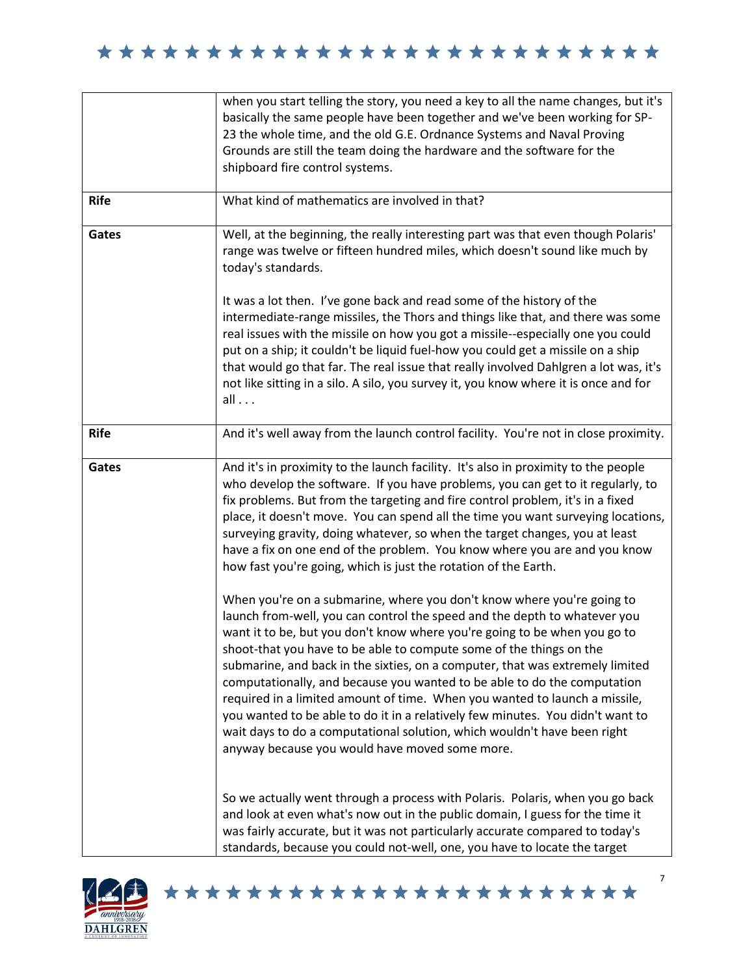|             | when you start telling the story, you need a key to all the name changes, but it's<br>basically the same people have been together and we've been working for SP-<br>23 the whole time, and the old G.E. Ordnance Systems and Naval Proving<br>Grounds are still the team doing the hardware and the software for the<br>shipboard fire control systems.                                                                                                                                                                                                                                                                                                                                                                                                           |
|-------------|--------------------------------------------------------------------------------------------------------------------------------------------------------------------------------------------------------------------------------------------------------------------------------------------------------------------------------------------------------------------------------------------------------------------------------------------------------------------------------------------------------------------------------------------------------------------------------------------------------------------------------------------------------------------------------------------------------------------------------------------------------------------|
| <b>Rife</b> | What kind of mathematics are involved in that?                                                                                                                                                                                                                                                                                                                                                                                                                                                                                                                                                                                                                                                                                                                     |
| Gates       | Well, at the beginning, the really interesting part was that even though Polaris'<br>range was twelve or fifteen hundred miles, which doesn't sound like much by<br>today's standards.                                                                                                                                                                                                                                                                                                                                                                                                                                                                                                                                                                             |
|             | It was a lot then. I've gone back and read some of the history of the<br>intermediate-range missiles, the Thors and things like that, and there was some<br>real issues with the missile on how you got a missile--especially one you could<br>put on a ship; it couldn't be liquid fuel-how you could get a missile on a ship<br>that would go that far. The real issue that really involved Dahlgren a lot was, it's<br>not like sitting in a silo. A silo, you survey it, you know where it is once and for<br>all                                                                                                                                                                                                                                              |
| <b>Rife</b> | And it's well away from the launch control facility. You're not in close proximity.                                                                                                                                                                                                                                                                                                                                                                                                                                                                                                                                                                                                                                                                                |
| Gates       | And it's in proximity to the launch facility. It's also in proximity to the people<br>who develop the software. If you have problems, you can get to it regularly, to<br>fix problems. But from the targeting and fire control problem, it's in a fixed<br>place, it doesn't move. You can spend all the time you want surveying locations,<br>surveying gravity, doing whatever, so when the target changes, you at least<br>have a fix on one end of the problem. You know where you are and you know<br>how fast you're going, which is just the rotation of the Earth.                                                                                                                                                                                         |
|             | When you're on a submarine, where you don't know where you're going to<br>launch from-well, you can control the speed and the depth to whatever you<br>want it to be, but you don't know where you're going to be when you go to<br>shoot-that you have to be able to compute some of the things on the<br>submarine, and back in the sixties, on a computer, that was extremely limited<br>computationally, and because you wanted to be able to do the computation<br>required in a limited amount of time. When you wanted to launch a missile,<br>you wanted to be able to do it in a relatively few minutes. You didn't want to<br>wait days to do a computational solution, which wouldn't have been right<br>anyway because you would have moved some more. |
|             | So we actually went through a process with Polaris. Polaris, when you go back<br>and look at even what's now out in the public domain, I guess for the time it<br>was fairly accurate, but it was not particularly accurate compared to today's<br>standards, because you could not-well, one, you have to locate the target                                                                                                                                                                                                                                                                                                                                                                                                                                       |